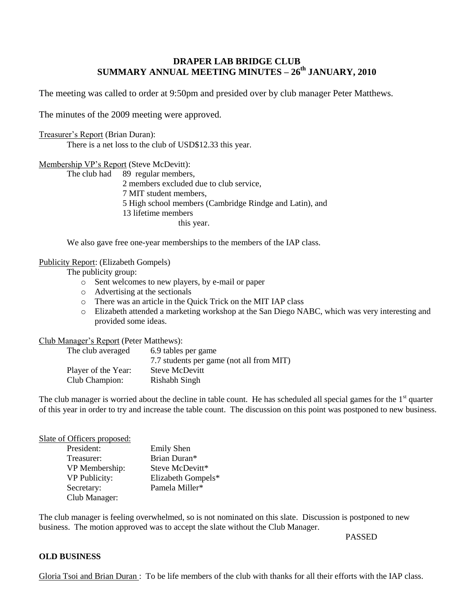# **DRAPER LAB BRIDGE CLUB SUMMARY ANNUAL MEETING MINUTES – 26 th JANUARY, 2010**

The meeting was called to order at 9:50pm and presided over by club manager Peter Matthews.

The minutes of the 2009 meeting were approved.

### Treasurer's Report (Brian Duran):

There is a net loss to the club of USD\$12.33 this year.

# Membership VP's Report (Steve McDevitt):

The club had 89 regular members, members excluded due to club service, MIT student members, High school members (Cambridge Rindge and Latin), and lifetime members this year.

We also gave free one-year memberships to the members of the IAP class.

# Publicity Report: (Elizabeth Gompels)

The publicity group:

- o Sent welcomes to new players, by e-mail or paper
- o Advertising at the sectionals
- o There was an article in the Quick Trick on the MIT IAP class
- o Elizabeth attended a marketing workshop at the San Diego NABC, which was very interesting and provided some ideas.

# Club Manager's Report (Peter Matthews):

| The club averaged   | 6.9 tables per game                      |
|---------------------|------------------------------------------|
|                     | 7.7 students per game (not all from MIT) |
| Player of the Year: | <b>Steve McDevitt</b>                    |
| Club Champion:      | Rishabh Singh                            |

The club manager is worried about the decline in table count. He has scheduled all special games for the  $1<sup>st</sup>$  quarter of this year in order to try and increase the table count. The discussion on this point was postponed to new business.

### Slate of Officers proposed:

| President:           | <b>Emily Shen</b>  |
|----------------------|--------------------|
| Treasurer:           | Brian Duran*       |
| VP Membership:       | Steve McDevitt*    |
| <b>VP Publicity:</b> | Elizabeth Gompels* |
| Secretary:           | Pamela Miller*     |
| Club Manager:        |                    |

The club manager is feeling overwhelmed, so is not nominated on this slate. Discussion is postponed to new business. The motion approved was to accept the slate without the Club Manager.

# PASSED

# **OLD BUSINESS**

Gloria Tsoi and Brian Duran : To be life members of the club with thanks for all their efforts with the IAP class.